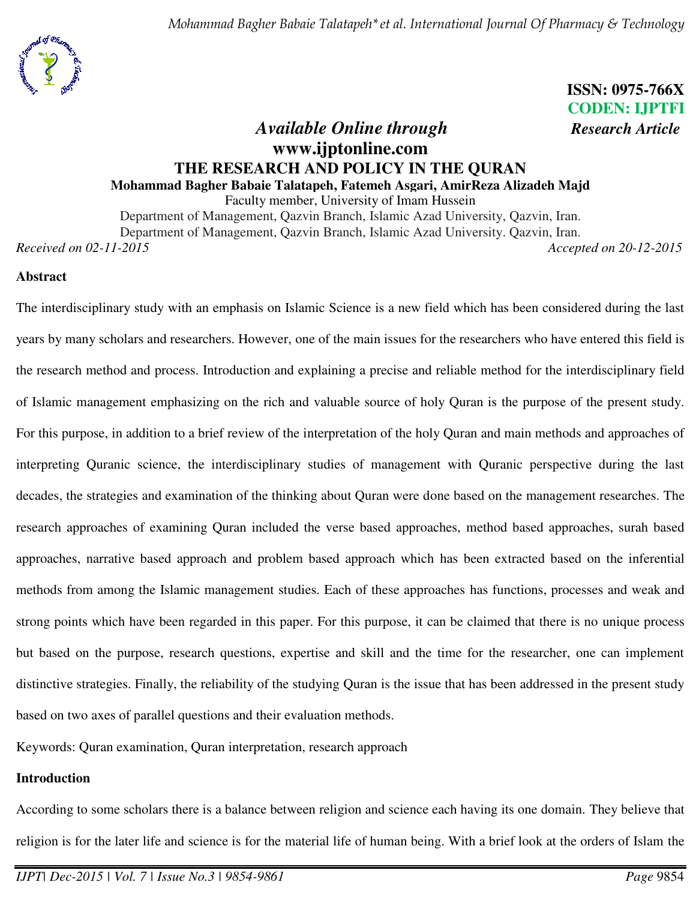

# **ISSN: 0975-766X CODEN: IJPTFI** *Available Online through Research Article*

# **www.ijptonline.com THE RESEARCH AND POLICY IN THE QURAN Mohammad Bagher Babaie Talatapeh, Fatemeh Asgari, AmirReza Alizadeh Majd**

Faculty member, University of Imam Hussein

Department of Management, Qazvin Branch, Islamic Azad University, Qazvin, Iran. Department of Management, Qazvin Branch, Islamic Azad University. Qazvin, Iran.

*Received on 02-11-2015 Accepted on 20-12-2015*

## **Abstract**

The interdisciplinary study with an emphasis on Islamic Science is a new field which has been considered during the last years by many scholars and researchers. However, one of the main issues for the researchers who have entered this field is the research method and process. Introduction and explaining a precise and reliable method for the interdisciplinary field of Islamic management emphasizing on the rich and valuable source of holy Quran is the purpose of the present study. For this purpose, in addition to a brief review of the interpretation of the holy Quran and main methods and approaches of interpreting Quranic science, the interdisciplinary studies of management with Quranic perspective during the last decades, the strategies and examination of the thinking about Quran were done based on the management researches. The research approaches of examining Quran included the verse based approaches, method based approaches, surah based approaches, narrative based approach and problem based approach which has been extracted based on the inferential methods from among the Islamic management studies. Each of these approaches has functions, processes and weak and strong points which have been regarded in this paper. For this purpose, it can be claimed that there is no unique process but based on the purpose, research questions, expertise and skill and the time for the researcher, one can implement distinctive strategies. Finally, the reliability of the studying Quran is the issue that has been addressed in the present study based on two axes of parallel questions and their evaluation methods.

Keywords: Quran examination, Quran interpretation, research approach

## **Introduction**

According to some scholars there is a balance between religion and science each having its one domain. They believe that religion is for the later life and science is for the material life of human being. With a brief look at the orders of Islam the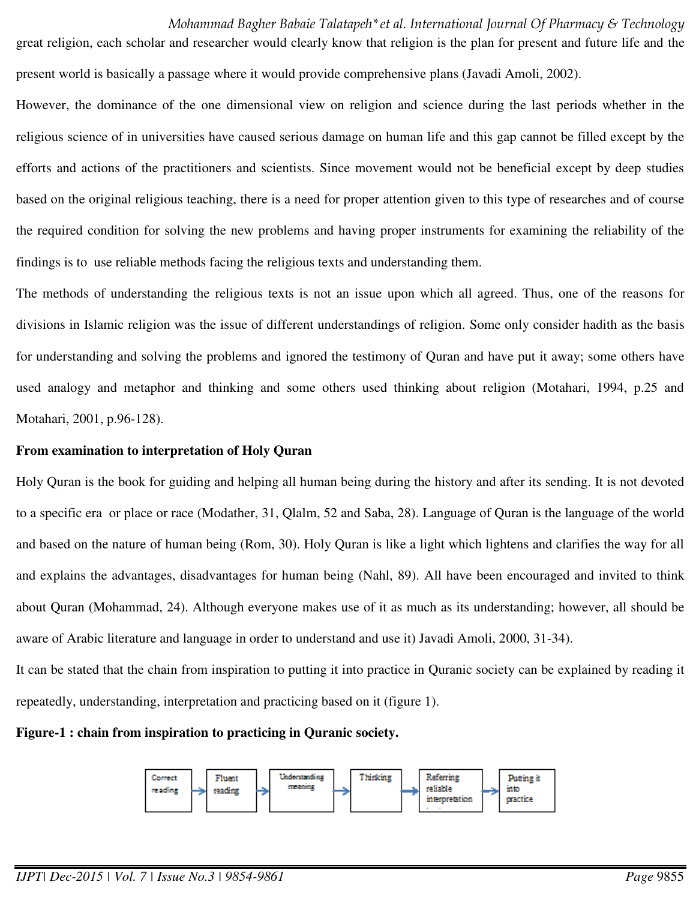great religion, each scholar and researcher would clearly know that religion is the plan for present and future life and the present world is basically a passage where it would provide comprehensive plans (Javadi Amoli, 2002).

However, the dominance of the one dimensional view on religion and science during the last periods whether in the religious science of in universities have caused serious damage on human life and this gap cannot be filled except by the efforts and actions of the practitioners and scientists. Since movement would not be beneficial except by deep studies based on the original religious teaching, there is a need for proper attention given to this type of researches and of course the required condition for solving the new problems and having proper instruments for examining the reliability of the findings is to use reliable methods facing the religious texts and understanding them.

The methods of understanding the religious texts is not an issue upon which all agreed. Thus, one of the reasons for divisions in Islamic religion was the issue of different understandings of religion. Some only consider hadith as the basis for understanding and solving the problems and ignored the testimony of Quran and have put it away; some others have used analogy and metaphor and thinking and some others used thinking about religion (Motahari, 1994, p.25 and Motahari, 2001, p.96-128).

### **From examination to interpretation of Holy Quran**

Holy Quran is the book for guiding and helping all human being during the history and after its sending. It is not devoted to a specific era or place or race (Modather, 31, Qlalm, 52 and Saba, 28). Language of Quran is the language of the world and based on the nature of human being (Rom, 30). Holy Quran is like a light which lightens and clarifies the way for all and explains the advantages, disadvantages for human being (Nahl, 89). All have been encouraged and invited to think about Quran (Mohammad, 24). Although everyone makes use of it as much as its understanding; however, all should be aware of Arabic literature and language in order to understand and use it) Javadi Amoli, 2000, 31-34).

It can be stated that the chain from inspiration to putting it into practice in Quranic society can be explained by reading it repeatedly, understanding, interpretation and practicing based on it (figure 1).

**Figure-1 : chain from inspiration to practicing in Quranic society.** 

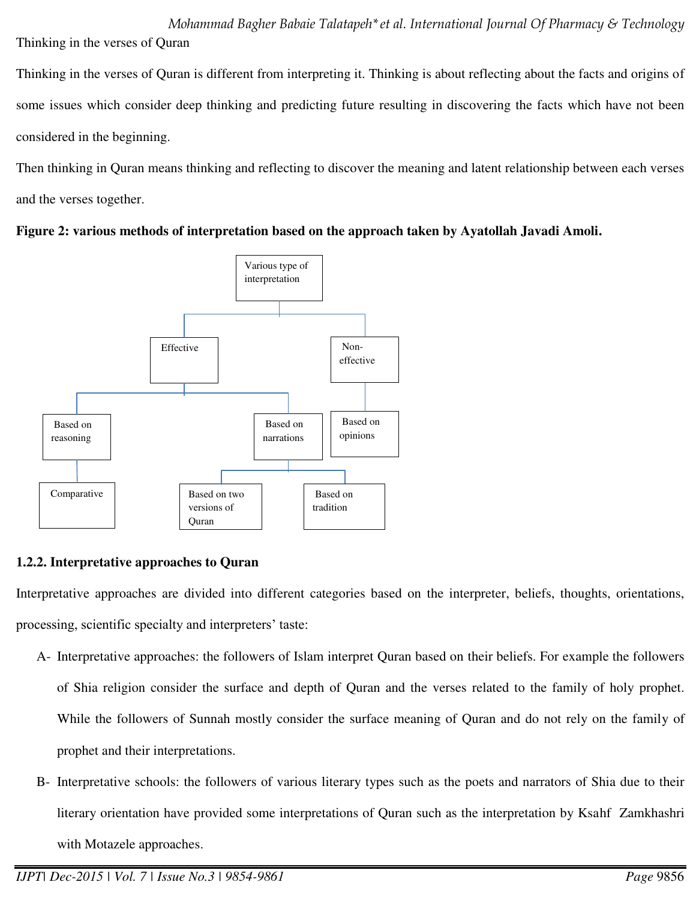*Mohammad Bagher Babaie Talatapeh\*et al. International Journal Of Pharmacy & Technology* Thinking in the verses of Quran

Thinking in the verses of Quran is different from interpreting it. Thinking is about reflecting about the facts and origins of some issues which consider deep thinking and predicting future resulting in discovering the facts which have not been considered in the beginning.

Then thinking in Quran means thinking and reflecting to discover the meaning and latent relationship between each verses and the verses together.





# **1.2.2. Interpretative approaches to Quran**

Interpretative approaches are divided into different categories based on the interpreter, beliefs, thoughts, orientations, processing, scientific specialty and interpreters' taste:

- A- Interpretative approaches: the followers of Islam interpret Quran based on their beliefs. For example the followers of Shia religion consider the surface and depth of Quran and the verses related to the family of holy prophet. While the followers of Sunnah mostly consider the surface meaning of Quran and do not rely on the family of prophet and their interpretations.
- B- Interpretative schools: the followers of various literary types such as the poets and narrators of Shia due to their literary orientation have provided some interpretations of Quran such as the interpretation by Ksahf Zamkhashri with Motazele approaches.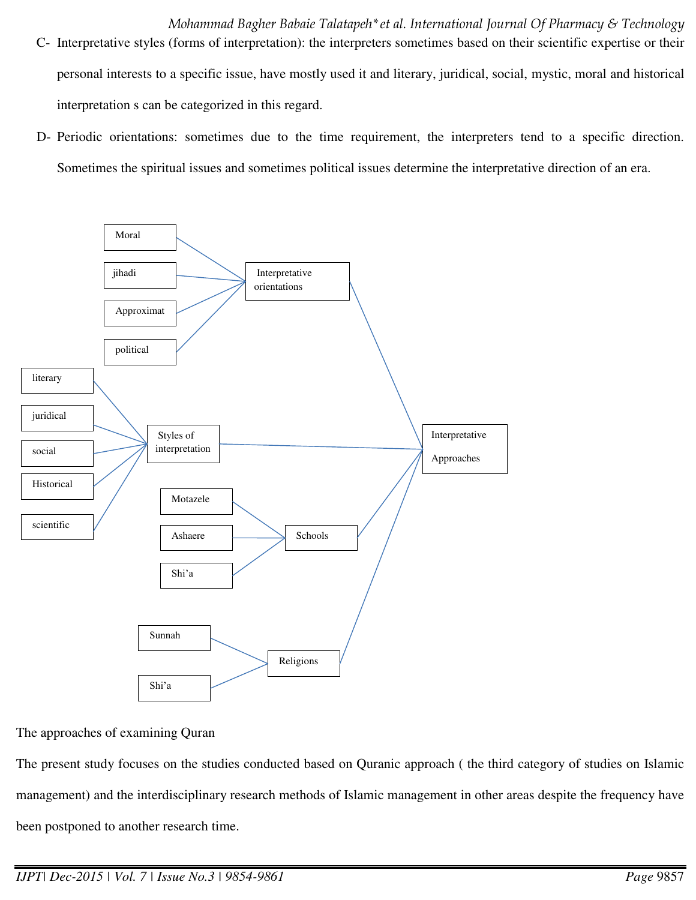- C- Interpretative styles (forms of interpretation): the interpreters sometimes based on their scientific expertise or their personal interests to a specific issue, have mostly used it and literary, juridical, social, mystic, moral and historical interpretation s can be categorized in this regard.
- D- Periodic orientations: sometimes due to the time requirement, the interpreters tend to a specific direction. Sometimes the spiritual issues and sometimes political issues determine the interpretative direction of an era.



The approaches of examining Quran

The present study focuses on the studies conducted based on Quranic approach ( the third category of studies on Islamic management) and the interdisciplinary research methods of Islamic management in other areas despite the frequency have been postponed to another research time.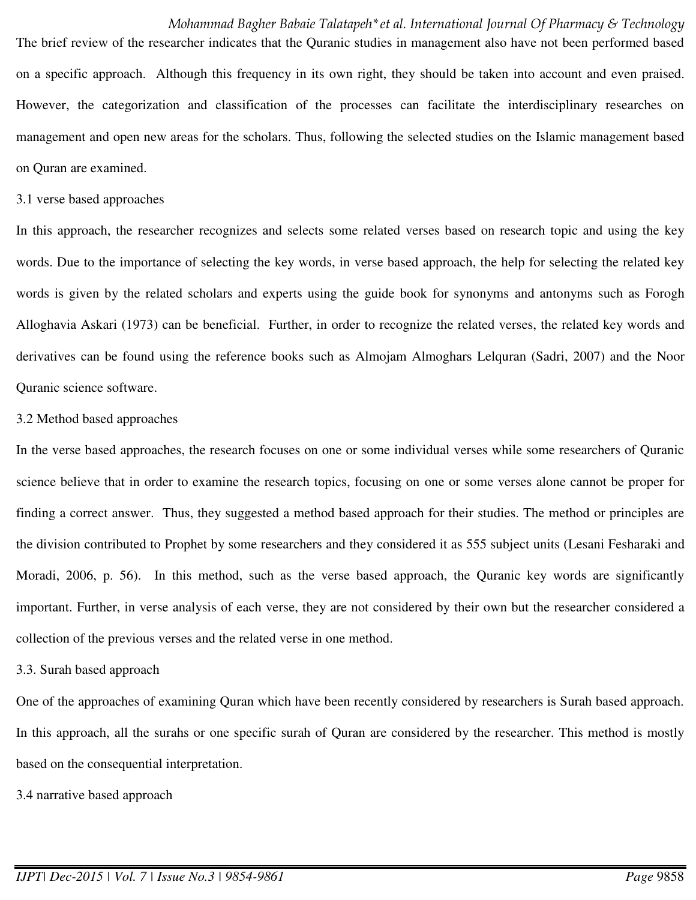The brief review of the researcher indicates that the Quranic studies in management also have not been performed based on a specific approach. Although this frequency in its own right, they should be taken into account and even praised. However, the categorization and classification of the processes can facilitate the interdisciplinary researches on management and open new areas for the scholars. Thus, following the selected studies on the Islamic management based on Quran are examined.

#### 3.1 verse based approaches

In this approach, the researcher recognizes and selects some related verses based on research topic and using the key words. Due to the importance of selecting the key words, in verse based approach, the help for selecting the related key words is given by the related scholars and experts using the guide book for synonyms and antonyms such as Forogh Alloghavia Askari (1973) can be beneficial. Further, in order to recognize the related verses, the related key words and derivatives can be found using the reference books such as Almojam Almoghars Lelquran (Sadri, 2007) and the Noor Quranic science software.

#### 3.2 Method based approaches

In the verse based approaches, the research focuses on one or some individual verses while some researchers of Quranic science believe that in order to examine the research topics, focusing on one or some verses alone cannot be proper for finding a correct answer. Thus, they suggested a method based approach for their studies. The method or principles are the division contributed to Prophet by some researchers and they considered it as 555 subject units (Lesani Fesharaki and Moradi, 2006, p. 56). In this method, such as the verse based approach, the Quranic key words are significantly important. Further, in verse analysis of each verse, they are not considered by their own but the researcher considered a collection of the previous verses and the related verse in one method.

#### 3.3. Surah based approach

One of the approaches of examining Quran which have been recently considered by researchers is Surah based approach. In this approach, all the surahs or one specific surah of Quran are considered by the researcher. This method is mostly based on the consequential interpretation.

3.4 narrative based approach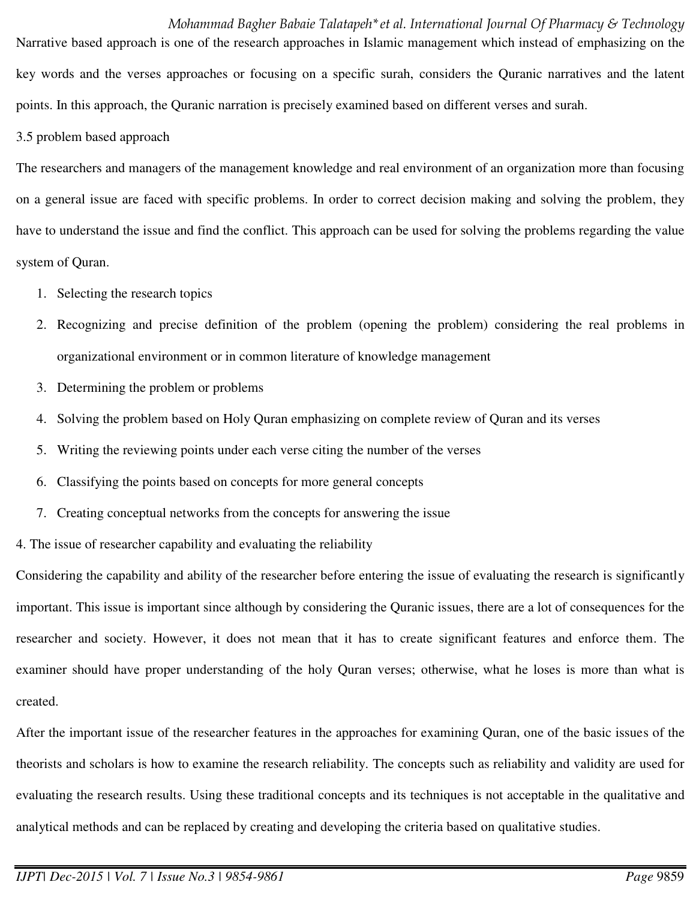*Mohammad Bagher Babaie Talatapeh\*et al. International Journal Of Pharmacy & Technology* Narrative based approach is one of the research approaches in Islamic management which instead of emphasizing on the key words and the verses approaches or focusing on a specific surah, considers the Quranic narratives and the latent points. In this approach, the Quranic narration is precisely examined based on different verses and surah.

3.5 problem based approach

The researchers and managers of the management knowledge and real environment of an organization more than focusing on a general issue are faced with specific problems. In order to correct decision making and solving the problem, they have to understand the issue and find the conflict. This approach can be used for solving the problems regarding the value system of Quran.

- 1. Selecting the research topics
- 2. Recognizing and precise definition of the problem (opening the problem) considering the real problems in organizational environment or in common literature of knowledge management
- 3. Determining the problem or problems
- 4. Solving the problem based on Holy Quran emphasizing on complete review of Quran and its verses
- 5. Writing the reviewing points under each verse citing the number of the verses
- 6. Classifying the points based on concepts for more general concepts
- 7. Creating conceptual networks from the concepts for answering the issue

4. The issue of researcher capability and evaluating the reliability

Considering the capability and ability of the researcher before entering the issue of evaluating the research is significantly important. This issue is important since although by considering the Quranic issues, there are a lot of consequences for the researcher and society. However, it does not mean that it has to create significant features and enforce them. The examiner should have proper understanding of the holy Quran verses; otherwise, what he loses is more than what is created.

After the important issue of the researcher features in the approaches for examining Quran, one of the basic issues of the theorists and scholars is how to examine the research reliability. The concepts such as reliability and validity are used for evaluating the research results. Using these traditional concepts and its techniques is not acceptable in the qualitative and analytical methods and can be replaced by creating and developing the criteria based on qualitative studies.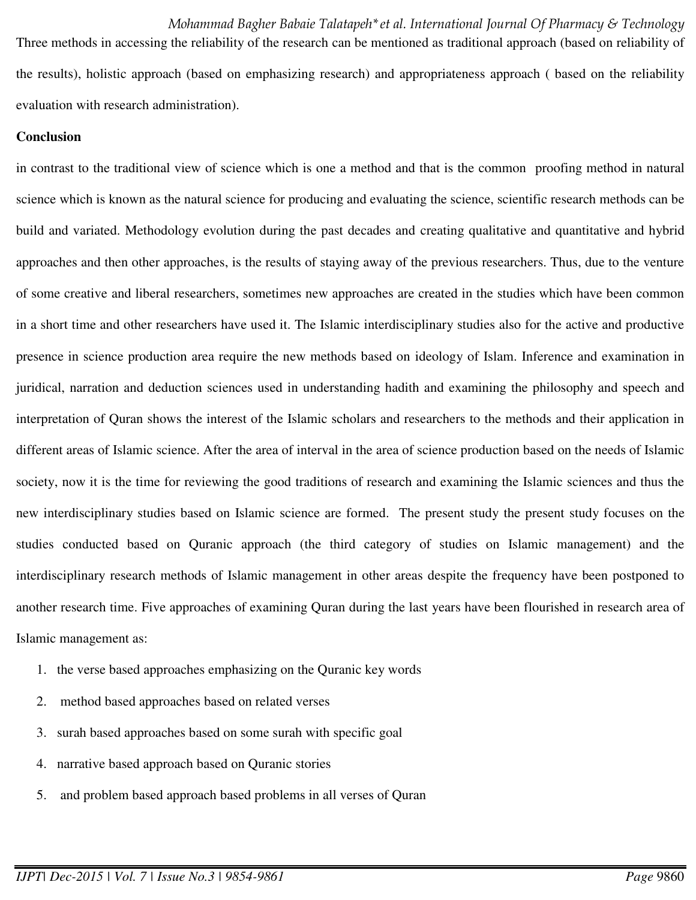*Mohammad Bagher Babaie Talatapeh\*et al. International Journal Of Pharmacy & Technology* Three methods in accessing the reliability of the research can be mentioned as traditional approach (based on reliability of the results), holistic approach (based on emphasizing research) and appropriateness approach ( based on the reliability evaluation with research administration).

#### **Conclusion**

in contrast to the traditional view of science which is one a method and that is the common proofing method in natural science which is known as the natural science for producing and evaluating the science, scientific research methods can be build and variated. Methodology evolution during the past decades and creating qualitative and quantitative and hybrid approaches and then other approaches, is the results of staying away of the previous researchers. Thus, due to the venture of some creative and liberal researchers, sometimes new approaches are created in the studies which have been common in a short time and other researchers have used it. The Islamic interdisciplinary studies also for the active and productive presence in science production area require the new methods based on ideology of Islam. Inference and examination in juridical, narration and deduction sciences used in understanding hadith and examining the philosophy and speech and interpretation of Quran shows the interest of the Islamic scholars and researchers to the methods and their application in different areas of Islamic science. After the area of interval in the area of science production based on the needs of Islamic society, now it is the time for reviewing the good traditions of research and examining the Islamic sciences and thus the new interdisciplinary studies based on Islamic science are formed. The present study the present study focuses on the studies conducted based on Quranic approach (the third category of studies on Islamic management) and the interdisciplinary research methods of Islamic management in other areas despite the frequency have been postponed to another research time. Five approaches of examining Quran during the last years have been flourished in research area of Islamic management as:

- 1. the verse based approaches emphasizing on the Quranic key words
- 2. method based approaches based on related verses
- 3. surah based approaches based on some surah with specific goal
- 4. narrative based approach based on Quranic stories
- 5. and problem based approach based problems in all verses of Quran